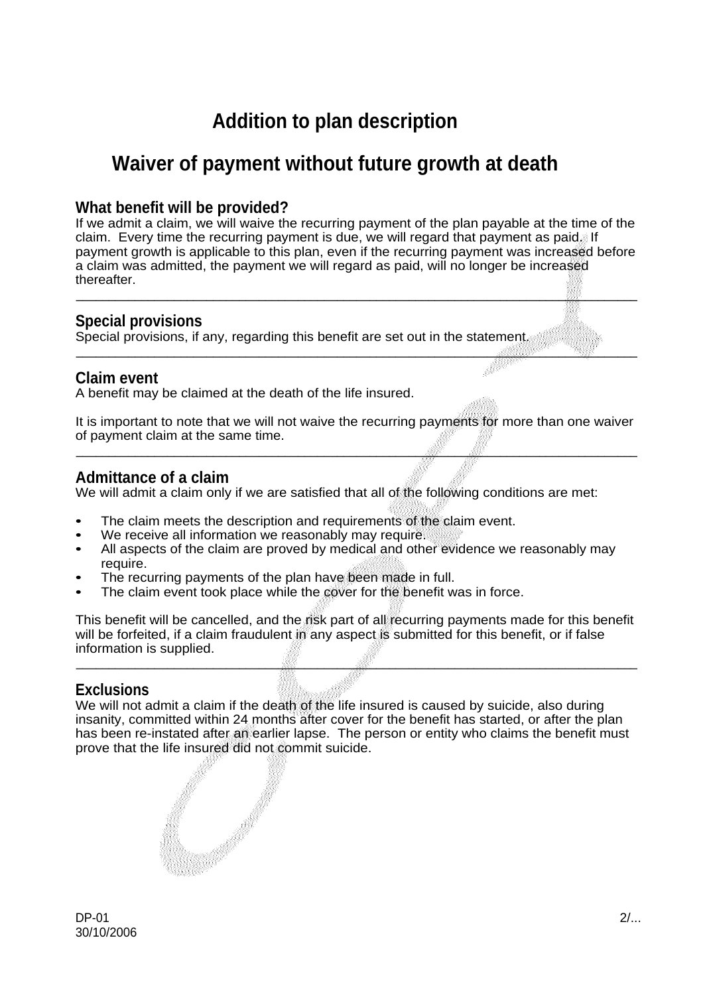# **Addition to plan description**

# **Waiver of payment without future growth at death**

## **What benefit will be provided?**

If we admit a claim, we will waive the recurring payment of the plan payable at the time of the claim. Every time the recurring payment is due, we will regard that payment as paid. If payment growth is applicable to this plan, even if the recurring payment was increased before a claim was admitted, the payment we will regard as paid, will no longer be increased thereafter.

\_\_\_\_\_\_\_\_\_\_\_\_\_\_\_\_\_\_\_\_\_\_\_\_\_\_\_\_\_\_\_\_\_\_\_\_\_\_\_\_\_\_\_\_\_\_\_\_\_\_\_\_\_\_\_\_\_\_\_\_\_\_\_\_\_\_\_\_\_\_\_\_\_\_\_\_\_\_\_\_\_\_\_\_\_\_

 $-$  . The contribution of the contribution of the contribution of the contribution of  $\mathbb{R}^2$  . The contribution of the contribution of the contribution of the contribution of the contribution of the contribution of th

# **Special provisions**

Special provisions, if any, regarding this benefit are set out in the statement.

## **Claim event**

A benefit may be claimed at the death of the life insured.

It is important to note that we will not waive the recurring payments for more than one waiver of payment claim at the same time. \_\_\_\_\_\_\_\_\_\_\_\_\_\_\_\_\_\_\_\_\_\_\_\_\_\_\_\_\_\_\_\_\_\_\_\_\_\_\_\_\_\_\_\_\_\_\_\_\_\_\_\_\_\_\_\_\_\_\_\_\_\_\_\_\_\_\_\_\_\_\_\_\_\_\_\_\_\_\_\_\_\_\_\_\_\_

### **Admittance of a claim**

We will admit a claim only if we are satisfied that all of the following conditions are met:

- The claim meets the description and requirements of the claim event.
- We receive all information we reasonably may require.
- All aspects of the claim are proved by medical and other evidence we reasonably may require.
- The recurring payments of the plan have been made in full.
- The claim event took place while the cover for the benefit was in force.

This benefit will be cancelled, and the risk part of all recurring payments made for this benefit will be forfeited, if a claim fraudulent in any aspect is submitted for this benefit, or if false information is supplied.

\_\_\_\_\_\_\_\_\_\_\_\_\_\_\_\_\_\_\_\_\_\_\_\_\_\_\_\_\_\_\_\_\_\_\_\_\_\_\_\_\_\_\_\_\_\_\_\_\_\_\_\_\_\_\_\_\_\_\_\_\_\_\_\_\_\_\_\_\_\_\_\_\_\_\_\_\_\_\_\_\_\_\_\_\_\_

# **Exclusions**

We will not admit a claim if the death of the life insured is caused by suicide, also during insanity, committed within 24 months after cover for the benefit has started, or after the plan has been re-instated after an earlier lapse. The person or entity who claims the benefit must prove that the life insured did not commit suicide.